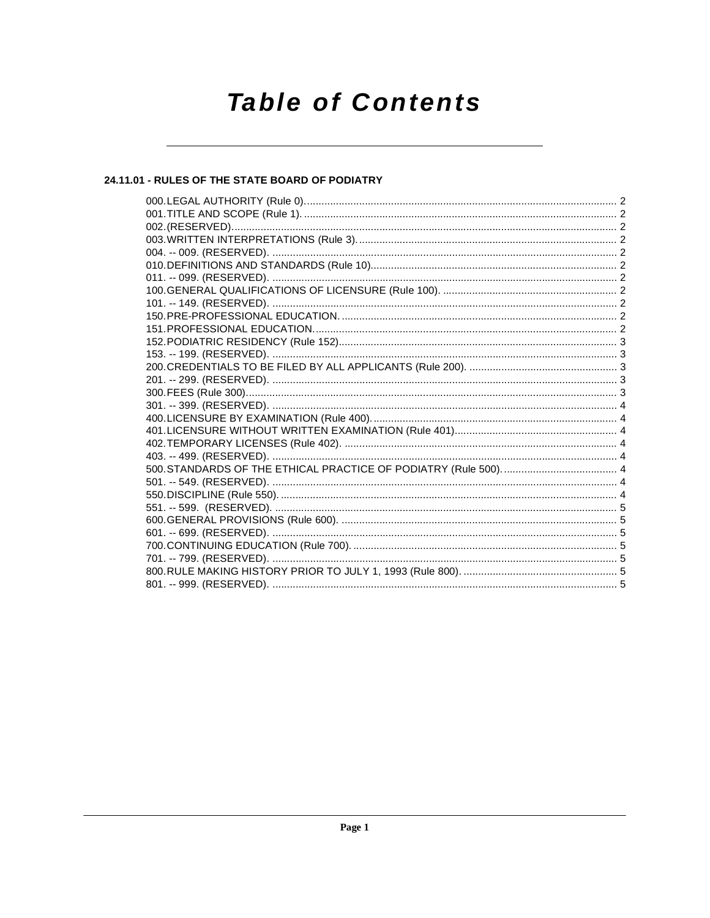# **Table of Contents**

### 24.11.01 - RULES OF THE STATE BOARD OF PODIATRY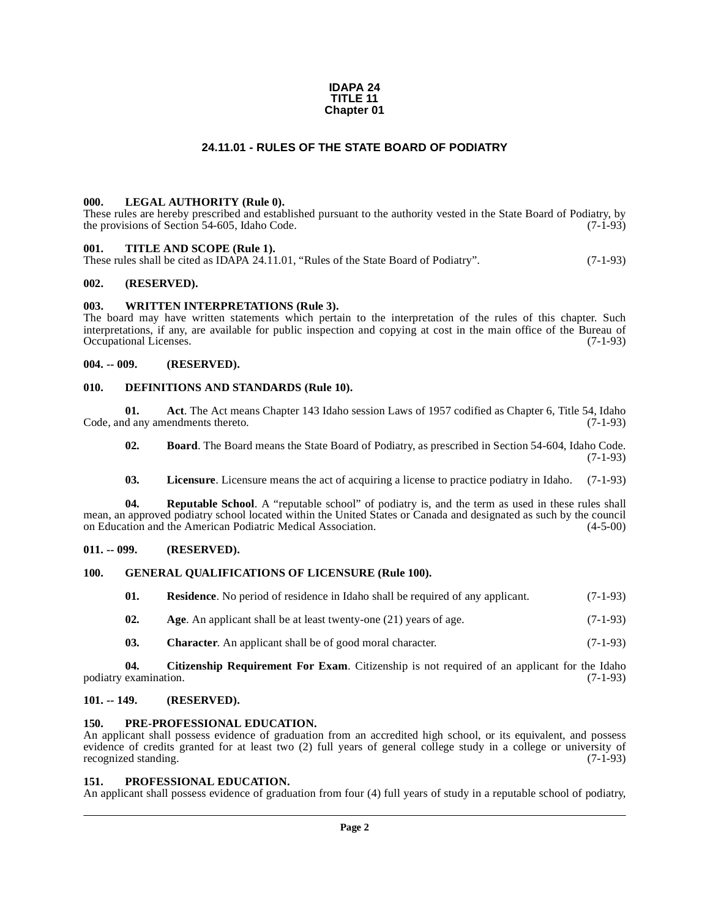#### **IDAPA 24 TITLE 11 Chapter 01**

#### **24.11.01 - RULES OF THE STATE BOARD OF PODIATRY**

#### <span id="page-1-1"></span><span id="page-1-0"></span>**000. LEGAL AUTHORITY (Rule 0).**

These rules are hereby prescribed and established pursuant to the authority vested in the State Board of Podiatry, by the provisions of Section 54-605, Idaho Code. (7-1-93)

#### <span id="page-1-2"></span>**001. TITLE AND SCOPE (Rule 1).**

These rules shall be cited as IDAPA 24.11.01, "Rules of the State Board of Podiatry". (7-1-93)

#### <span id="page-1-3"></span>**002. (RESERVED).**

#### <span id="page-1-4"></span>**003. WRITTEN INTERPRETATIONS (Rule 3).**

The board may have written statements which pertain to the interpretation of the rules of this chapter. Such interpretations, if any, are available for public inspection and copying at cost in the main office of the Bureau of Occupational Licenses. (7-1-93)

#### <span id="page-1-5"></span>**004. -- 009. (RESERVED).**

#### <span id="page-1-17"></span><span id="page-1-6"></span>**010. DEFINITIONS AND STANDARDS (Rule 10).**

**01. Act**. The Act means Chapter 143 Idaho session Laws of 1957 codified as Chapter 6, Title 54, Idaho Code, and any amendments thereto. (7-1-93)

<span id="page-1-14"></span><span id="page-1-12"></span>**02. Board**. The Board means the State Board of Podiatry, as prescribed in Section 54-604, Idaho Code. (7-1-93)

<span id="page-1-22"></span><span id="page-1-19"></span>**03. Licensure**. Licensure means the act of acquiring a license to practice podiatry in Idaho. (7-1-93)

**04.** Reputable School. A "reputable school" of podiatry is, and the term as used in these rules shall mean, an approved podiatry school located within the United States or Canada and designated as such by the council on Education and the American Podiatric Medical Association. (4-5-00)

#### <span id="page-1-7"></span>**011. -- 099. (RESERVED).**

#### <span id="page-1-8"></span>**100. GENERAL QUALIFICATIONS OF LICENSURE (Rule 100).**

<span id="page-1-23"></span><span id="page-1-18"></span>

| 01. |  | <b>Residence.</b> No period of residence in Idaho shall be required of any applicant. | $(7-1-93)$ |
|-----|--|---------------------------------------------------------------------------------------|------------|
|-----|--|---------------------------------------------------------------------------------------|------------|

- <span id="page-1-13"></span>**02.** Age. An applicant shall be at least twenty-one (21) years of age. (7-1-93)
- <span id="page-1-16"></span><span id="page-1-15"></span>**03. Character**. An applicant shall be of good moral character. (7-1-93)

**04.** Citizenship Requirement For Exam. Citizenship is not required of an applicant for the Idaho examination. (7-1-93) podiatry examination.

#### <span id="page-1-9"></span>**101. -- 149. (RESERVED).**

#### <span id="page-1-20"></span><span id="page-1-10"></span>**150. PRE-PROFESSIONAL EDUCATION.**

An applicant shall possess evidence of graduation from an accredited high school, or its equivalent, and possess evidence of credits granted for at least two (2) full years of general college study in a college or university of recognized standing. (7-1-93) recognized standing.

#### <span id="page-1-21"></span><span id="page-1-11"></span>**151. PROFESSIONAL EDUCATION.**

An applicant shall possess evidence of graduation from four (4) full years of study in a reputable school of podiatry,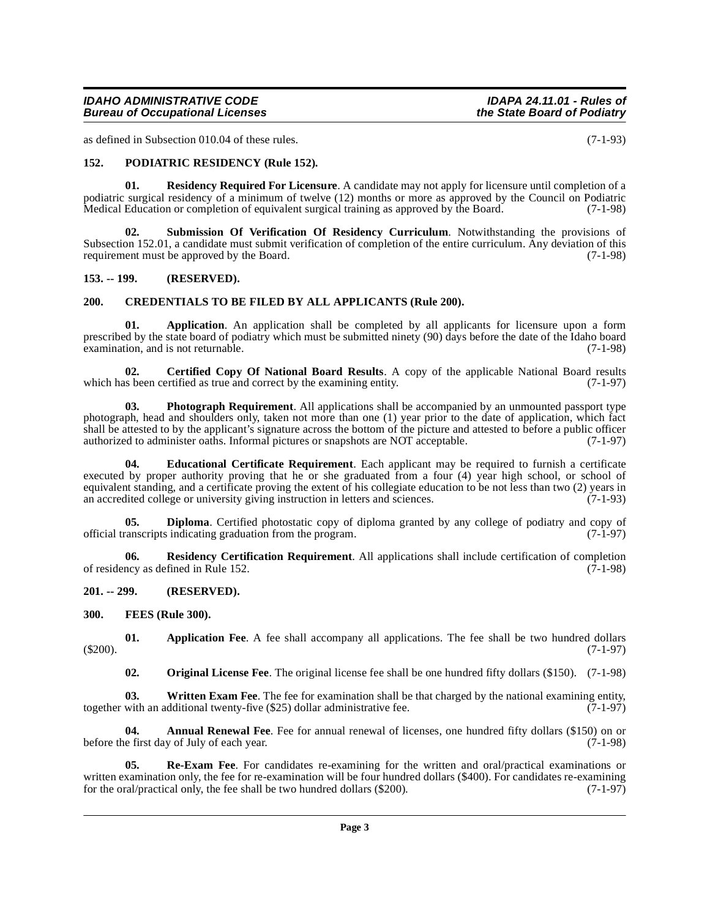#### **IDAHO ADMINISTRATIVE CODE IDAPA 24.11.01 - Rules of Bureau of Occupational Licenses**

as defined in Subsection 010.04 of these rules. (7-1-93)

#### <span id="page-2-15"></span><span id="page-2-0"></span>**152. PODIATRIC RESIDENCY (Rule 152).**

<span id="page-2-18"></span>**01. Residency Required For Licensure**. A candidate may not apply for licensure until completion of a podiatric surgical residency of a minimum of twelve (12) months or more as approved by the Council on Podiatric<br>Medical Education or completion of equivalent surgical training as approved by the Board. (7-1-98) Medical Education or completion of equivalent surgical training as approved by the Board.

<span id="page-2-19"></span>**02. Submission Of Verification Of Residency Curriculum**. Notwithstanding the provisions of Subsection 152.01, a candidate must submit verification of completion of the entire curriculum. Any deviation of this requirement must be approved by the Board. (7-1-98)

#### <span id="page-2-1"></span>**153. -- 199. (RESERVED).**

#### <span id="page-2-9"></span><span id="page-2-2"></span>**200. CREDENTIALS TO BE FILED BY ALL APPLICANTS (Rule 200).**

<span id="page-2-7"></span>**01. Application**. An application shall be completed by all applicants for licensure upon a form prescribed by the state board of podiatry which must be submitted ninety (90) days before the date of the Idaho board examination, and is not returnable. (7-1-98)

<span id="page-2-8"></span>**02. Certified Copy Of National Board Results**. A copy of the applicable National Board results s been certified as true and correct by the examining entity. (7-1-97) which has been certified as true and correct by the examining entity.

<span id="page-2-14"></span>**03.** Photograph Requirement. All applications shall be accompanied by an unmounted passport type photograph, head and shoulders only, taken not more than one (1) year prior to the date of application, which fact shall be attested to by the applicant's signature across the bottom of the picture and attested to before a public officer authorized to administer oaths. Informal pictures or snapshots are NOT acceptable. (7-1-97) authorized to administer oaths. Informal pictures or snapshots are NOT acceptable.

<span id="page-2-11"></span>**04. Educational Certificate Requirement**. Each applicant may be required to furnish a certificate executed by proper authority proving that he or she graduated from a four (4) year high school, or school of equivalent standing, and a certificate proving the extent of his collegiate education to be not less than two (2) years in an accredited college or university giving instruction in letters and sciences. (7-1-93)

<span id="page-2-10"></span>**05. Diploma**. Certified photostatic copy of diploma granted by any college of podiatry and copy of canscripts indicating graduation from the program. (7-1-97) official transcripts indicating graduation from the program.

<span id="page-2-17"></span>**06. Residency Certification Requirement**. All applications shall include certification of completion of residency as defined in Rule 152. (7-1-98)

<span id="page-2-3"></span>**201. -- 299. (RESERVED).**

<span id="page-2-12"></span><span id="page-2-4"></span>**300. FEES (Rule 300).**

**01.** Application Fee. A fee shall accompany all applications. The fee shall be two hundred dollars (7-1-97) (\$200). (7-1-97)

<span id="page-2-20"></span><span id="page-2-13"></span><span id="page-2-6"></span><span id="page-2-5"></span>**02. Original License Fee**. The original license fee shall be one hundred fifty dollars (\$150). (7-1-98)

**03.** Written Exam Fee. The fee for examination shall be that charged by the national examining entity, with an additional twenty-five (\$25) dollar administrative fee. (7-1-97) together with an additional twenty-five  $(\$25)$  dollar administrative fee.

**04.** Annual Renewal Fee. Fee for annual renewal of licenses, one hundred fifty dollars (\$150) on or before the first day of July of each year. (7-1-98)

<span id="page-2-16"></span>**05. Re-Exam Fee**. For candidates re-examining for the written and oral/practical examinations or written examination only, the fee for re-examination will be four hundred dollars (\$400). For candidates re-examining for the oral/practical only, the fee shall be two hundred dollars (\$200). (7-1-97) for the oral/practical only, the fee shall be two hundred dollars  $(\$200)$ .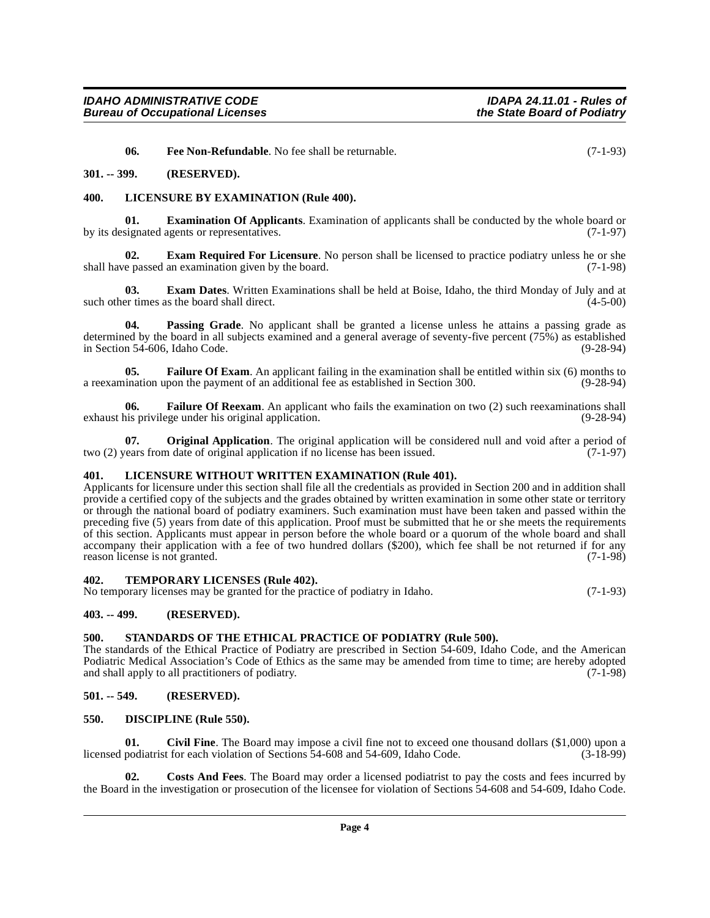<span id="page-3-17"></span><span id="page-3-16"></span><span id="page-3-13"></span>**06.** Free Non-Refundable. No fee shall be returnable. (7-1-93)

#### <span id="page-3-0"></span>**301. -- 399. (RESERVED).**

#### <span id="page-3-1"></span>**400. LICENSURE BY EXAMINATION (Rule 400).**

**01. Examination Of Applicants**. Examination of applicants shall be conducted by the whole board or signated agents or representatives. (7-1-97) by its designated agents or representatives.

<span id="page-3-12"></span>**02. Exam Required For Licensure**. No person shall be licensed to practice podiatry unless he or she e passed an examination given by the board. (7-1-98) shall have passed an examination given by the board.

<span id="page-3-11"></span>**03. Exam Dates**. Written Examinations shall be held at Boise, Idaho, the third Monday of July and at such other times as the board shall direct. (4-5-00)

<span id="page-3-20"></span>**04. Passing Grade**. No applicant shall be granted a license unless he attains a passing grade as determined by the board in all subjects examined and a general average of seventy-five percent (75%) as established in Section 54-606, Idaho Code. (9-28-94)

<span id="page-3-14"></span>**05. Failure Of Exam**. An applicant failing in the examination shall be entitled within six (6) months to ination upon the payment of an additional fee as established in Section 300. (9-28-94) a reexamination upon the payment of an additional fee as established in Section 300.

<span id="page-3-15"></span>**06. Failure Of Reexam**. An applicant who fails the examination on two (2) such reexaminations shall exhaust his privilege under his original application. (9-28-94)

<span id="page-3-19"></span>**07. Original Application**. The original application will be considered null and void after a period of two (2) years from date of original application if no license has been issued. (7-1-97)

#### <span id="page-3-18"></span><span id="page-3-2"></span>**401. LICENSURE WITHOUT WRITTEN EXAMINATION (Rule 401).**

Applicants for licensure under this section shall file all the credentials as provided in Section 200 and in addition shall provide a certified copy of the subjects and the grades obtained by written examination in some other state or territory or through the national board of podiatry examiners. Such examination must have been taken and passed within the preceding five (5) years from date of this application. Proof must be submitted that he or she meets the requirements of this section. Applicants must appear in person before the whole board or a quorum of the whole board and shall accompany their application with a fee of two hundred dollars (\$200), which fee shall be not returned if for any reason license is not granted. (7-1-98)

#### <span id="page-3-22"></span><span id="page-3-3"></span>**402. TEMPORARY LICENSES (Rule 402).**

No temporary licenses may be granted for the practice of podiatry in Idaho. (7-1-93)

#### <span id="page-3-4"></span>**403. -- 499. (RESERVED).**

#### <span id="page-3-21"></span><span id="page-3-5"></span>**500. STANDARDS OF THE ETHICAL PRACTICE OF PODIATRY (Rule 500).**

The standards of the Ethical Practice of Podiatry are prescribed in Section 54-609, Idaho Code, and the American Podiatric Medical Association's Code of Ethics as the same may be amended from time to time; are hereby adopted and shall apply to all practitioners of podiatry. (7-1-98)

#### <span id="page-3-6"></span>**501. -- 549. (RESERVED).**

#### <span id="page-3-10"></span><span id="page-3-7"></span>**550. DISCIPLINE (Rule 550).**

<span id="page-3-8"></span>**01.** Civil Fine. The Board may impose a civil fine not to exceed one thousand dollars (\$1,000) upon a podiatrist for each violation of Sections 54-608 and 54-609, Idaho Code. (3-18-99) licensed podiatrist for each violation of Sections 54-608 and 54-609, Idaho Code.

<span id="page-3-9"></span>**02. Costs And Fees**. The Board may order a licensed podiatrist to pay the costs and fees incurred by the Board in the investigation or prosecution of the licensee for violation of Sections 54-608 and 54-609, Idaho Code.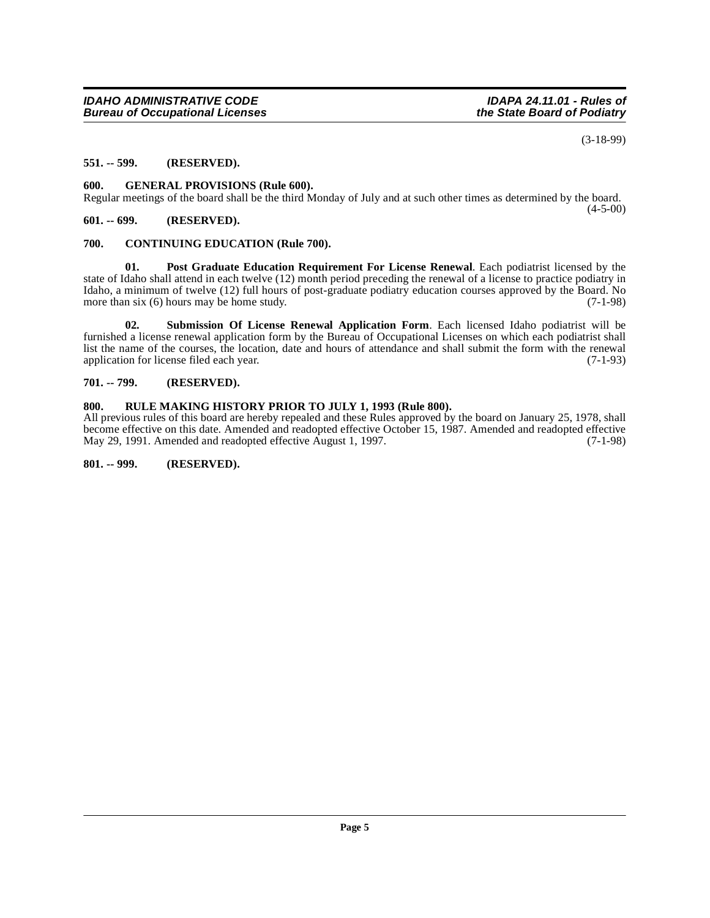(3-18-99)

#### <span id="page-4-0"></span>**551. -- 599. (RESERVED).**

#### <span id="page-4-8"></span><span id="page-4-1"></span>**600. GENERAL PROVISIONS (Rule 600).**

Regular meetings of the board shall be the third Monday of July and at such other times as determined by the board.  $(4-5-00)$ 

#### <span id="page-4-2"></span>**601. -- 699. (RESERVED).**

#### <span id="page-4-7"></span><span id="page-4-3"></span>**700. CONTINUING EDUCATION (Rule 700).**

<span id="page-4-9"></span>**01. Post Graduate Education Requirement For License Renewal**. Each podiatrist licensed by the state of Idaho shall attend in each twelve (12) month period preceding the renewal of a license to practice podiatry in Idaho, a minimum of twelve (12) full hours of post-graduate podiatry education courses approved by the Board. No more than six  $(6)$  hours may be home study. (7-1-98)

<span id="page-4-10"></span>**02. Submission Of License Renewal Application Form**. Each licensed Idaho podiatrist will be furnished a license renewal application form by the Bureau of Occupational Licenses on which each podiatrist shall list the name of the courses, the location, date and hours of attendance and shall submit the form with the renewal application for license filed each year. (7-1-93)

#### <span id="page-4-4"></span>**701. -- 799. (RESERVED).**

#### <span id="page-4-5"></span>**800. RULE MAKING HISTORY PRIOR TO JULY 1, 1993 (Rule 800).**

All previous rules of this board are hereby repealed and these Rules approved by the board on January 25, 1978, shall become effective on this date. Amended and readopted effective October 15, 1987. Amended and readopted effective May 29, 1991. Amended and readopted effective August 1, 1997. May 29, 1991. Amended and readopted effective August 1, 1997.

<span id="page-4-6"></span>**801. -- 999. (RESERVED).**